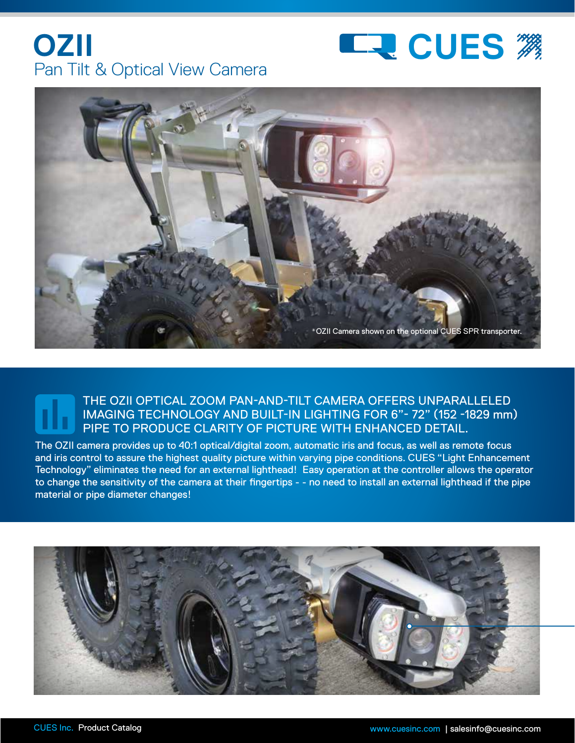





## THE OZII OPTICAL ZOOM PAN-AND-TILT CAMERA OFFERS UNPARALLELED IMAGING TECHNOLOGY AND BUILT-IN LIGHTING FOR 6"- 72" (152 -1829 mm) PIPE TO PRODUCE CLARITY OF PICTURE WITH ENHANCED DETAIL.

The OZII camera provides up to 40:1 optical/digital zoom, automatic iris and focus, as well as remote focus and iris control to assure the highest quality picture within varying pipe conditions. CUES "Light Enhancement Technology" eliminates the need for an external lighthead! Easy operation at the controller allows the operator to change the sensitivity of the camera at their fingertips - - no need to install an external lighthead if the pipe material or pipe diameter changes!